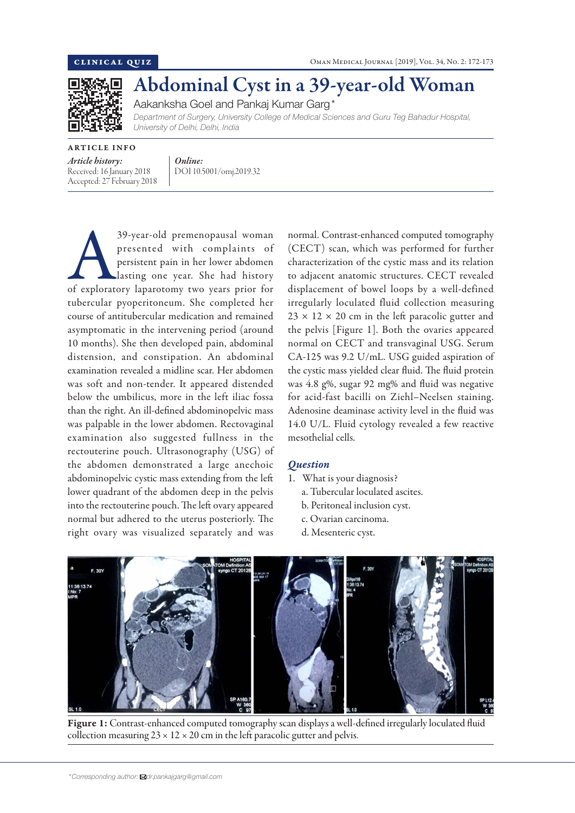

Abdominal Cyst in a 39-year-old Woman Aakanksha Goel and Pankaj Kumar Garg\*

*Department of Surgery, University College of Medical Sciences and Guru Teg Bahadur Hospital, University of Delhi, Delhi, India*

ARTICLE INFO

*Article history:*  Received: 16 January 2018 Accepted: 27 February 2018 *Online:* DOI 10.5001/omj.2019.32

39-year-old premenopausal woman<br>
presented with complaints of<br>
persistent pain in her lower abdomen<br>
lasting one year. She had history<br>
of exploratory laparotomy two years prior for presented with complaints of persistent pain in her lower abdomen lasting one year. She had history tubercular pyoperitoneum. She completed her course of antitubercular medication and remained asymptomatic in the intervening period (around 10 months). She then developed pain, abdominal distension, and constipation. An abdominal examination revealed a midline scar. Her abdomen was soft and non-tender. It appeared distended below the umbilicus, more in the left iliac fossa than the right. An ill-defined abdominopelvic mass was palpable in the lower abdomen. Rectovaginal examination also suggested fullness in the rectouterine pouch. Ultrasonography (USG) of the abdomen demonstrated a large anechoic abdominopelvic cystic mass extending from the left lower quadrant of the abdomen deep in the pelvis into the rectouterine pouch. The left ovary appeared normal but adhered to the uterus posteriorly. The right ovary was visualized separately and was

normal. Contrast-enhanced computed tomography (CECT) scan, which was performed for further characterization of the cystic mass and its relation to adjacent anatomic structures. CECT revealed displacement of bowel loops by a well-defined irregularly loculated fluid collection measuring  $23 \times 12 \times 20$  cm in the left paracolic gutter and the pelvis [Figure 1]. Both the ovaries appeared normal on CECT and transvaginal USG. Serum CA-125 was 9.2 U/mL. USG guided aspiration of the cystic mass yielded clear fluid. The fluid protein was 4.8 g%, sugar 92 mg% and fluid was negative for acid-fast bacilli on Ziehl–Neelsen staining. Adenosine deaminase activity level in the fluid was 14.0 U/L. Fluid cytology revealed a few reactive mesothelial cells.

# *Question*

- 1. What is your diagnosis?
	- a. Tubercular loculated ascites.
	- b. Peritoneal inclusion cyst.
	- c. Ovarian carcinoma.
	- d. Mesenteric cyst.



Figure 1: Contrast-enhanced computed tomography scan displays a well-defined irregularly loculated fluid collection measuring  $23 \times 12 \times 20$  cm in the left paracolic gutter and pelvis.